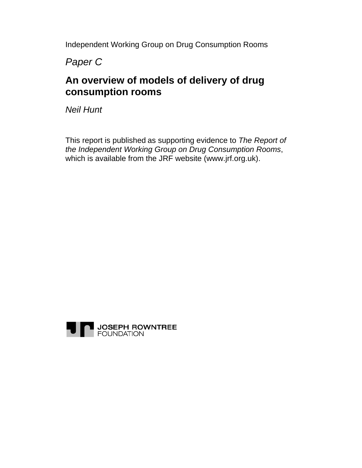Independent Working Group on Drug Consumption Rooms

*Paper C* 

# **An overview of models of delivery of drug consumption rooms**

*Neil Hunt* 

This report is published as supporting evidence to *The Report of the Independent Working Group on Drug Consumption Rooms*, which is available from the JRF website (www.jrf.org.uk).

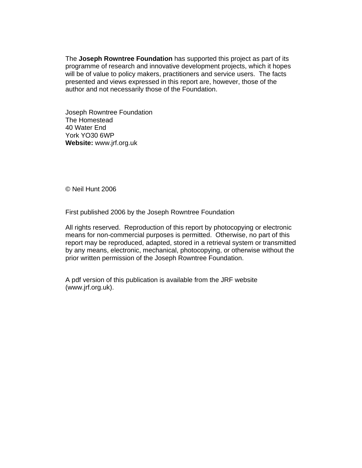The **Joseph Rowntree Foundation** has supported this project as part of its programme of research and innovative development projects, which it hopes will be of value to policy makers, practitioners and service users. The facts presented and views expressed in this report are, however, those of the author and not necessarily those of the Foundation.

Joseph Rowntree Foundation The Homestead 40 Water End York YO30 6WP **Website:** www.jrf.org.uk

© Neil Hunt 2006

First published 2006 by the Joseph Rowntree Foundation

All rights reserved. Reproduction of this report by photocopying or electronic means for non-commercial purposes is permitted. Otherwise, no part of this report may be reproduced, adapted, stored in a retrieval system or transmitted by any means, electronic, mechanical, photocopying, or otherwise without the prior written permission of the Joseph Rowntree Foundation.

A pdf version of this publication is available from the JRF website (www.jrf.org.uk).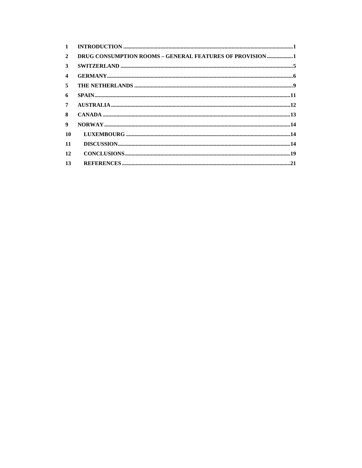| $\mathbf{1}$            |                                                          |
|-------------------------|----------------------------------------------------------|
| $\mathbf{2}$            | DRUG CONSUMPTION ROOMS - GENERAL FEATURES OF PROVISION 1 |
| 3                       |                                                          |
| $\overline{\mathbf{4}}$ |                                                          |
| 5                       |                                                          |
| 6                       |                                                          |
| 7                       |                                                          |
| 8                       |                                                          |
| 9                       |                                                          |
| 10                      |                                                          |
| 11                      |                                                          |
| 12                      |                                                          |
| 13                      |                                                          |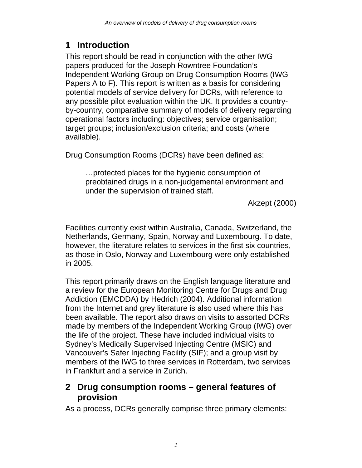# **1 Introduction**

This report should be read in conjunction with the other IWG papers produced for the Joseph Rowntree Foundation's Independent Working Group on Drug Consumption Rooms (IWG Papers A to F). This report is written as a basis for considering potential models of service delivery for DCRs, with reference to any possible pilot evaluation within the UK. It provides a countryby-country, comparative summary of models of delivery regarding operational factors including: objectives; service organisation; target groups; inclusion/exclusion criteria; and costs (where available).

Drug Consumption Rooms (DCRs) have been defined as:

…protected places for the hygienic consumption of preobtained drugs in a non-judgemental environment and under the supervision of trained staff.

Akzept (2000)

Facilities currently exist within Australia, Canada, Switzerland, the Netherlands, Germany, Spain, Norway and Luxembourg. To date, however, the literature relates to services in the first six countries, as those in Oslo, Norway and Luxembourg were only established in 2005.

This report primarily draws on the English language literature and a review for the European Monitoring Centre for Drugs and Drug Addiction (EMCDDA) by Hedrich (2004). Additional information from the Internet and grey literature is also used where this has been available. The report also draws on visits to assorted DCRs made by members of the Independent Working Group (IWG) over the life of the project. These have included individual visits to Sydney's Medically Supervised Injecting Centre (MSIC) and Vancouver's Safer Injecting Facility (SIF); and a group visit by members of the IWG to three services in Rotterdam, two services in Frankfurt and a service in Zurich.

## **2 Drug consumption rooms – general features of provision**

As a process, DCRs generally comprise three primary elements: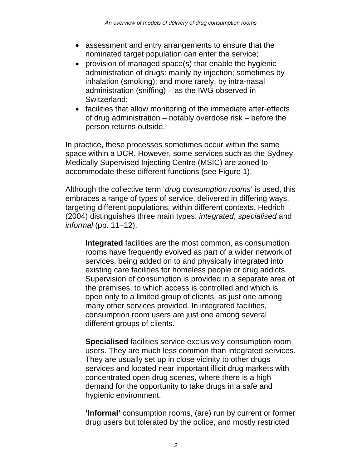- assessment and entry arrangements to ensure that the nominated target population can enter the service;
- provision of managed space(s) that enable the hygienic administration of drugs: mainly by injection; sometimes by inhalation (smoking); and more rarely, by intra-nasal administration (sniffing) – as the IWG observed in Switzerland;
- facilities that allow monitoring of the immediate after-effects of drug administration – notably overdose risk – before the person returns outside.

In practice, these processes sometimes occur within the same space within a DCR. However, some services such as the Sydney Medically Supervised Injecting Centre (MSIC) are zoned to accommodate these different functions (see Figure 1).

Although the collective term '*drug consumption rooms*' is used, this embraces a range of types of service, delivered in differing ways, targeting different populations, within different contexts. Hedrich (2004) distinguishes three main types: *integrated*, *specialised* and *informal* (pp. 11–12).

**Integrated** facilities are the most common, as consumption rooms have frequently evolved as part of a wider network of services, being added on to and physically integrated into existing care facilities for homeless people or drug addicts. Supervision of consumption is provided in a separate area of the premises, to which access is controlled and which is open only to a limited group of clients, as just one among many other services provided. In integrated facilities, consumption room users are just one among several different groups of clients.

**Specialised** facilities service exclusively consumption room users. They are much less common than integrated services. They are usually set up in close vicinity to other drugs services and located near important illicit drug markets with concentrated open drug scenes, where there is a high demand for the opportunity to take drugs in a safe and hygienic environment.

**'Informal'** consumption rooms, (are) run by current or former drug users but tolerated by the police, and mostly restricted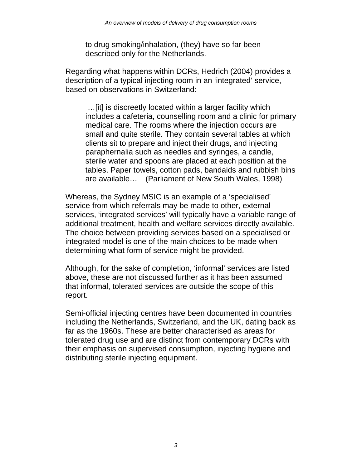to drug smoking/inhalation, (they) have so far been described only for the Netherlands.

Regarding what happens within DCRs, Hedrich (2004) provides a description of a typical injecting room in an 'integrated' service, based on observations in Switzerland:

 …[it] is discreetly located within a larger facility which includes a cafeteria, counselling room and a clinic for primary medical care. The rooms where the injection occurs are small and quite sterile. They contain several tables at which clients sit to prepare and inject their drugs, and injecting paraphernalia such as needles and syringes, a candle, sterile water and spoons are placed at each position at the tables. Paper towels, cotton pads, bandaids and rubbish bins are available… (Parliament of New South Wales, 1998)

Whereas, the Sydney MSIC is an example of a 'specialised' service from which referrals may be made to other, external services, 'integrated services' will typically have a variable range of additional treatment, health and welfare services directly available. The choice between providing services based on a specialised or integrated model is one of the main choices to be made when determining what form of service might be provided.

Although, for the sake of completion, 'informal' services are listed above, these are not discussed further as it has been assumed that informal, tolerated services are outside the scope of this report.

Semi-official injecting centres have been documented in countries including the Netherlands, Switzerland, and the UK, dating back as far as the 1960s. These are better characterised as areas for tolerated drug use and are distinct from contemporary DCRs with their emphasis on supervised consumption, injecting hygiene and distributing sterile injecting equipment.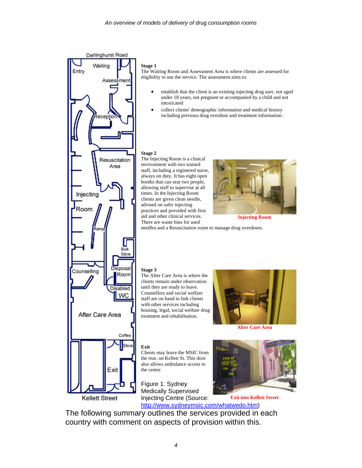

#### **Stage 1**

The Waiting Room and Assessment Area is where clients are assessed for eligibility to use the service. The assessment aims to:

- establish that the client is an existing injecting drug user, not aged under 18 years, not pregnant or accompanied by a child and not intoxicated
- collect clients' demographic information and medical history including previous drug overdose and treatment information .

#### **Stage 2**

The Injecting Room is a clinical environment with two trained staff, including a registered nurse, always on duty. It has eight open booths that can seat two people, allowing staff to supervise at all times. In the Injecting Room clients are given clean needle, advised on safer injecting practices and provided with first aid and other clinical services. There are waste bins for used



**Injecting Room** 

needles and a Resuscitation room to manage drug overdoses.

#### **Stage 3**

The After Care Area is where the clients remain under observation until they are ready to leave. Counsellors and social welfare staff are on hand to link clients with other services including housing, legal, social welfare drug treatment and rehabilitation.



**After Care Area**

#### **Exit**

Clients may leave the MSIC from the rear, on Kellett St. This door also allows ambulance access to the centre

Figure 1. Sydney Medically Supervised Injecting Centre (Source:



http://www.sydneymsic.com/whatwedo.htm) The following summary outlines the services provided in each country with comment on aspects of provision within this.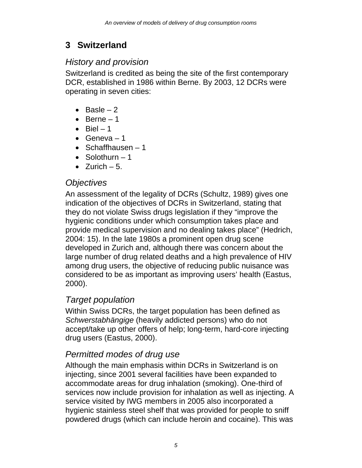# **3 Switzerland**

## *History and provision*

Switzerland is credited as being the site of the first contemporary DCR, established in 1986 within Berne. By 2003, 12 DCRs were operating in seven cities:

- Basle  $-2$
- $\bullet$  Berne 1
- $\bullet$  Biel  $-1$
- Geneva  $-1$
- Schaffhausen  $-1$
- $\bullet$  Solothurn  $-1$
- Zurich  $-5$ .

## *Objectives*

An assessment of the legality of DCRs (Schultz, 1989) gives one indication of the objectives of DCRs in Switzerland, stating that they do not violate Swiss drugs legislation if they "improve the hygienic conditions under which consumption takes place and provide medical supervision and no dealing takes place" (Hedrich, 2004: 15). In the late 1980s a prominent open drug scene developed in Zurich and, although there was concern about the large number of drug related deaths and a high prevalence of HIV among drug users, the objective of reducing public nuisance was considered to be as important as improving users' health (Eastus, 2000).

## *Target population*

Within Swiss DCRs, the target population has been defined as *Schwerstabhängige* (heavily addicted persons) who do not accept/take up other offers of help; long-term, hard-core injecting drug users (Eastus, 2000).

## *Permitted modes of drug use*

Although the main emphasis within DCRs in Switzerland is on injecting, since 2001 several facilities have been expanded to accommodate areas for drug inhalation (smoking). One-third of services now include provision for inhalation as well as injecting. A service visited by IWG members in 2005 also incorporated a hygienic stainless steel shelf that was provided for people to sniff powdered drugs (which can include heroin and cocaine). This was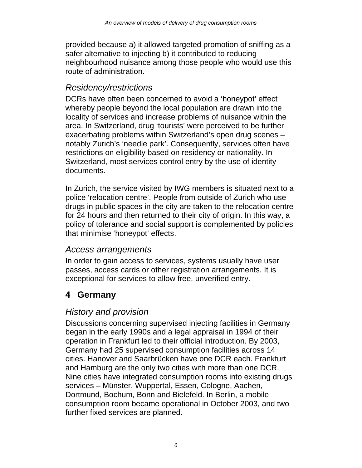provided because a) it allowed targeted promotion of sniffing as a safer alternative to injecting b) it contributed to reducing neighbourhood nuisance among those people who would use this route of administration.

## *Residency/restrictions*

DCRs have often been concerned to avoid a 'honeypot' effect whereby people beyond the local population are drawn into the locality of services and increase problems of nuisance within the area. In Switzerland, drug 'tourists' were perceived to be further exacerbating problems within Switzerland's open drug scenes – notably Zurich's 'needle park'. Consequently, services often have restrictions on eligibility based on residency or nationality. In Switzerland, most services control entry by the use of identity documents.

In Zurich, the service visited by IWG members is situated next to a police 'relocation centre'. People from outside of Zurich who use drugs in public spaces in the city are taken to the relocation centre for 24 hours and then returned to their city of origin. In this way, a policy of tolerance and social support is complemented by policies that minimise 'honeypot' effects.

#### *Access arrangements*

In order to gain access to services, systems usually have user passes, access cards or other registration arrangements. It is exceptional for services to allow free, unverified entry.

# **4 Germany**

## *History and provision*

Discussions concerning supervised injecting facilities in Germany began in the early 1990s and a legal appraisal in 1994 of their operation in Frankfurt led to their official introduction. By 2003, Germany had 25 supervised consumption facilities across 14 cities. Hanover and Saarbrücken have one DCR each. Frankfurt and Hamburg are the only two cities with more than one DCR. Nine cities have integrated consumption rooms into existing drugs services – Münster, Wuppertal, Essen, Cologne, Aachen, Dortmund, Bochum, Bonn and Bielefeld. In Berlin, a mobile consumption room became operational in October 2003, and two further fixed services are planned.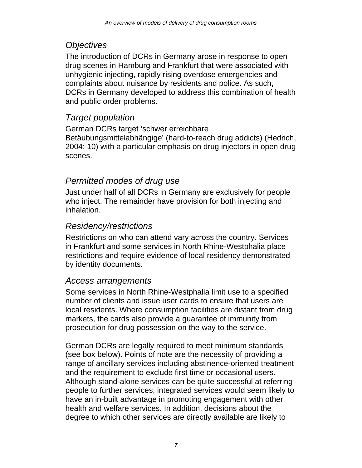## *Objectives*

The introduction of DCRs in Germany arose in response to open drug scenes in Hamburg and Frankfurt that were associated with unhygienic injecting, rapidly rising overdose emergencies and complaints about nuisance by residents and police. As such, DCRs in Germany developed to address this combination of health and public order problems.

## *Target population*

German DCRs target 'schwer erreichbare Betäubungsmittelabhängige' (hard-to-reach drug addicts) (Hedrich, 2004: 10) with a particular emphasis on drug injectors in open drug scenes.

## *Permitted modes of drug use*

Just under half of all DCRs in Germany are exclusively for people who inject. The remainder have provision for both injecting and inhalation.

## *Residency/restrictions*

Restrictions on who can attend vary across the country. Services in Frankfurt and some services in North Rhine-Westphalia place restrictions and require evidence of local residency demonstrated by identity documents.

#### *Access arrangements*

Some services in North Rhine-Westphalia limit use to a specified number of clients and issue user cards to ensure that users are local residents. Where consumption facilities are distant from drug markets, the cards also provide a guarantee of immunity from prosecution for drug possession on the way to the service.

German DCRs are legally required to meet minimum standards (see box below). Points of note are the necessity of providing a range of ancillary services including abstinence-oriented treatment and the requirement to exclude first time or occasional users. Although stand-alone services can be quite successful at referring people to further services, integrated services would seem likely to have an in-built advantage in promoting engagement with other health and welfare services. In addition, decisions about the degree to which other services are directly available are likely to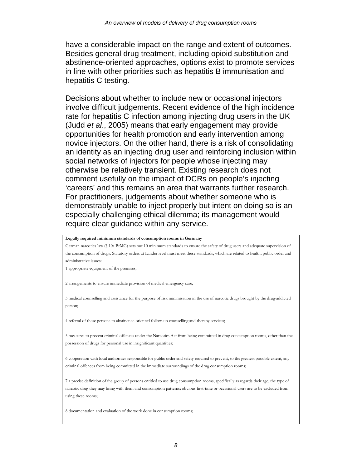have a considerable impact on the range and extent of outcomes. Besides general drug treatment, including opioid substitution and abstinence-oriented approaches, options exist to promote services in line with other priorities such as hepatitis B immunisation and hepatitis C testing.

Decisions about whether to include new or occasional injectors involve difficult judgements. Recent evidence of the high incidence rate for hepatitis C infection among injecting drug users in the UK (Judd *et al*., 2005) means that early engagement may provide opportunities for health promotion and early intervention among novice injectors. On the other hand, there is a risk of consolidating an identity as an injecting drug user and reinforcing inclusion within social networks of injectors for people whose injecting may otherwise be relatively transient. Existing research does not comment usefully on the impact of DCRs on people's injecting 'careers' and this remains an area that warrants further research. For practitioners, judgements about whether someone who is demonstrably unable to inject properly but intent on doing so is an especially challenging ethical dilemma; its management would require clear guidance within any service.

**Legally required minimum standards of consumption rooms in Germany** 

German narcotics law (§ 10a BtMG) sets out 10 minimum standards to ensure the safety of drug users and adequate supervision of the consumption of drugs. Statutory orders at Lander level must meet these standards, which are related to health, public order and administrative issues:

1 appropriate equipment of the premises;

2 arrangements to ensure immediate provision of medical emergency care;

3 medical counselling and assistance for the purpose of risk minimisation in the use of narcotic drugs brought by the drug-addicted person;

4 referral of these persons to abstinence-oriented follow-up counselling and therapy services;

5 measures to prevent criminal offences under the Narcotics Act from being committed in drug consumption rooms, other than the possession of drugs for personal use in insignificant quantities;

6 cooperation with local authorities responsible for public order and safety required to prevent, to the greatest possible extent, any criminal offences from being committed in the immediate surroundings of the drug consumption rooms;

7 a precise definition of the group of persons entitled to use drug consumption rooms, specifically as regards their age, the type of narcotic drug they may bring with them and consumption patterns; obvious first-time or occasional users are to be excluded from using these rooms;

8 documentation and evaluation of the work done in consumption rooms;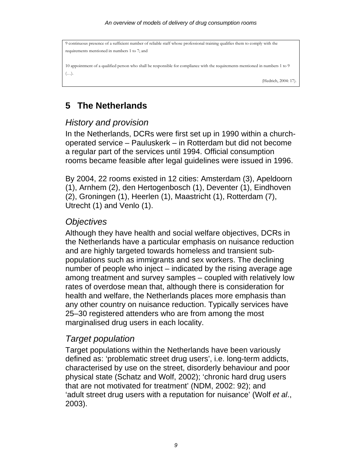```
9 continuous presence of a sufficient number of reliable staff whose professional training qualifies them to comply with the 
requirements mentioned in numbers 1 to 7; and 
10 appointment of a qualified person who shall be responsible for compliance with the requirements mentioned in numbers 1 to 9 
(…). 
                                                                                                                 (Hedrich, 2004: 17).
```
# **5 The Netherlands**

#### *History and provision*

In the Netherlands, DCRs were first set up in 1990 within a churchoperated service – Pauluskerk – in Rotterdam but did not become a regular part of the services until 1994. Official consumption rooms became feasible after legal guidelines were issued in 1996.

By 2004, 22 rooms existed in 12 cities: Amsterdam (3), Apeldoorn (1), Arnhem (2), den Hertogenbosch (1), Deventer (1), Eindhoven (2), Groningen (1), Heerlen (1), Maastricht (1), Rotterdam (7), Utrecht (1) and Venlo (1).

## *Objectives*

Although they have health and social welfare objectives, DCRs in the Netherlands have a particular emphasis on nuisance reduction and are highly targeted towards homeless and transient subpopulations such as immigrants and sex workers. The declining number of people who inject – indicated by the rising average age among treatment and survey samples – coupled with relatively low rates of overdose mean that, although there is consideration for health and welfare, the Netherlands places more emphasis than any other country on nuisance reduction. Typically services have 25–30 registered attenders who are from among the most marginalised drug users in each locality.

## *Target population*

Target populations within the Netherlands have been variously defined as: 'problematic street drug users', i.e. long-term addicts, characterised by use on the street, disorderly behaviour and poor physical state (Schatz and Wolf, 2002); 'chronic hard drug users that are not motivated for treatment' (NDM, 2002: 92); and 'adult street drug users with a reputation for nuisance' (Wolf *et al*., 2003).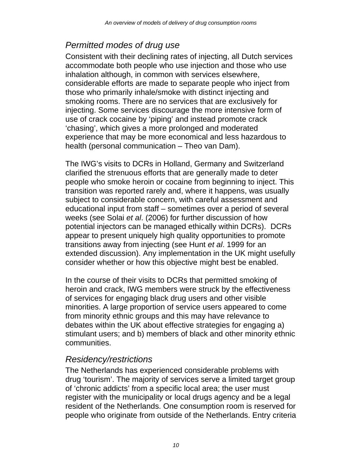# *Permitted modes of drug use*

Consistent with their declining rates of injecting, all Dutch services accommodate both people who use injection and those who use inhalation although, in common with services elsewhere, considerable efforts are made to separate people who inject from those who primarily inhale/smoke with distinct injecting and smoking rooms. There are no services that are exclusively for injecting. Some services discourage the more intensive form of use of crack cocaine by 'piping' and instead promote crack 'chasing', which gives a more prolonged and moderated experience that may be more economical and less hazardous to health (personal communication – Theo van Dam).

The IWG's visits to DCRs in Holland, Germany and Switzerland clarified the strenuous efforts that are generally made to deter people who smoke heroin or cocaine from beginning to inject. This transition was reported rarely and, where it happens, was usually subject to considerable concern, with careful assessment and educational input from staff – sometimes over a period of several weeks (see Solai *et al*. (2006) for further discussion of how potential injectors can be managed ethically within DCRs). DCRs appear to present uniquely high quality opportunities to promote transitions away from injecting (see Hunt *et al*. 1999 for an extended discussion). Any implementation in the UK might usefully consider whether or how this objective might best be enabled.

In the course of their visits to DCRs that permitted smoking of heroin and crack, IWG members were struck by the effectiveness of services for engaging black drug users and other visible minorities. A large proportion of service users appeared to come from minority ethnic groups and this may have relevance to debates within the UK about effective strategies for engaging a) stimulant users; and b) members of black and other minority ethnic communities.

#### *Residency/restrictions*

The Netherlands has experienced considerable problems with drug 'tourism'. The majority of services serve a limited target group of 'chronic addicts' from a specific local area; the user must register with the municipality or local drugs agency and be a legal resident of the Netherlands. One consumption room is reserved for people who originate from outside of the Netherlands. Entry criteria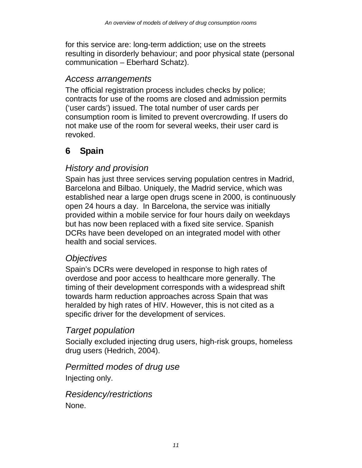for this service are: long-term addiction; use on the streets resulting in disorderly behaviour; and poor physical state (personal communication – Eberhard Schatz).

#### *Access arrangements*

The official registration process includes checks by police; contracts for use of the rooms are closed and admission permits ('user cards') issued. The total number of user cards per consumption room is limited to prevent overcrowding. If users do not make use of the room for several weeks, their user card is revoked.

# **6 Spain**

## *History and provision*

Spain has just three services serving population centres in Madrid, Barcelona and Bilbao. Uniquely, the Madrid service, which was established near a large open drugs scene in 2000, is continuously open 24 hours a day. In Barcelona, the service was initially provided within a mobile service for four hours daily on weekdays but has now been replaced with a fixed site service. Spanish DCRs have been developed on an integrated model with other health and social services.

#### *Objectives*

Spain's DCRs were developed in response to high rates of overdose and poor access to healthcare more generally. The timing of their development corresponds with a widespread shift towards harm reduction approaches across Spain that was heralded by high rates of HIV. However, this is not cited as a specific driver for the development of services.

#### *Target population*

Socially excluded injecting drug users, high-risk groups, homeless drug users (Hedrich, 2004).

#### *Permitted modes of drug use*

Injecting only.

*Residency/restrictions*  None.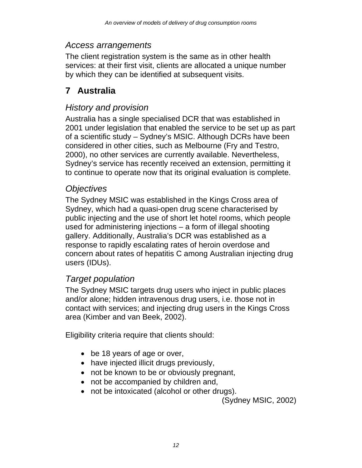#### *Access arrangements*

The client registration system is the same as in other health services: at their first visit, clients are allocated a unique number by which they can be identified at subsequent visits.

# **7 Australia**

## *History and provision*

Australia has a single specialised DCR that was established in 2001 under legislation that enabled the service to be set up as part of a scientific study – Sydney's MSIC. Although DCRs have been considered in other cities, such as Melbourne (Fry and Testro, 2000), no other services are currently available. Nevertheless, Sydney's service has recently received an extension, permitting it to continue to operate now that its original evaluation is complete.

#### *Objectives*

The Sydney MSIC was established in the Kings Cross area of Sydney, which had a quasi-open drug scene characterised by public injecting and the use of short let hotel rooms, which people used for administering injections – a form of illegal shooting gallery. Additionally, Australia's DCR was established as a response to rapidly escalating rates of heroin overdose and concern about rates of hepatitis C among Australian injecting drug users (IDUs).

## *Target population*

The Sydney MSIC targets drug users who inject in public places and/or alone; hidden intravenous drug users, i.e. those not in contact with services; and injecting drug users in the Kings Cross area (Kimber and van Beek, 2002).

Eligibility criteria require that clients should:

- be 18 years of age or over,
- have injected illicit drugs previously,
- not be known to be or obviously pregnant,
- not be accompanied by children and,
- not be intoxicated (alcohol or other drugs).

(Sydney MSIC, 2002)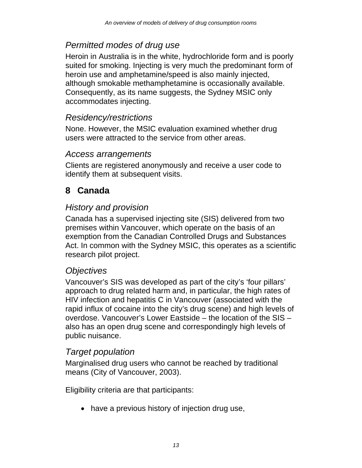## *Permitted modes of drug use*

Heroin in Australia is in the white, hydrochloride form and is poorly suited for smoking. Injecting is very much the predominant form of heroin use and amphetamine/speed is also mainly injected, although smokable methamphetamine is occasionally available. Consequently, as its name suggests, the Sydney MSIC only accommodates injecting.

#### *Residency/restrictions*

None. However, the MSIC evaluation examined whether drug users were attracted to the service from other areas.

#### *Access arrangements*

Clients are registered anonymously and receive a user code to identify them at subsequent visits.

## **8 Canada**

## *History and provision*

Canada has a supervised injecting site (SIS) delivered from two premises within Vancouver, which operate on the basis of an exemption from the Canadian Controlled Drugs and Substances Act. In common with the Sydney MSIC, this operates as a scientific research pilot project.

#### *Objectives*

Vancouver's SIS was developed as part of the city's 'four pillars' approach to drug related harm and, in particular, the high rates of HIV infection and hepatitis C in Vancouver (associated with the rapid influx of cocaine into the city's drug scene) and high levels of overdose. Vancouver's Lower Eastside – the location of the SIS – also has an open drug scene and correspondingly high levels of public nuisance.

#### *Target population*

Marginalised drug users who cannot be reached by traditional means (City of Vancouver, 2003).

Eligibility criteria are that participants:

• have a previous history of injection drug use,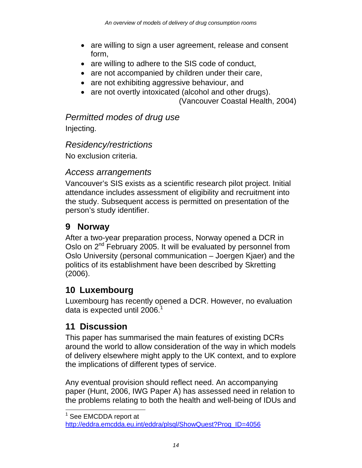- are willing to sign a user agreement, release and consent form,
- are willing to adhere to the SIS code of conduct,
- are not accompanied by children under their care,
- are not exhibiting aggressive behaviour, and
- are not overtly intoxicated (alcohol and other drugs).

(Vancouver Coastal Health, 2004)

#### *Permitted modes of drug use*

Injecting.

#### *Residency/restrictions*

No exclusion criteria.

#### *Access arrangements*

Vancouver's SIS exists as a scientific research pilot project. Initial attendance includes assessment of eligibility and recruitment into the study. Subsequent access is permitted on presentation of the person's study identifier.

## **9 Norway**

After a two-year preparation process, Norway opened a DCR in Oslo on 2<sup>nd</sup> February 2005. It will be evaluated by personnel from Oslo University (personal communication – Joergen Kjaer) and the politics of its establishment have been described by Skretting (2006).

## **10 Luxembourg**

Luxembourg has recently opened a DCR. However, no evaluation data is expected until 2006. $<sup>1</sup>$ </sup>

## **11 Discussion**

This paper has summarised the main features of existing DCRs around the world to allow consideration of the way in which models of delivery elsewhere might apply to the UK context, and to explore the implications of different types of service.

Any eventual provision should reflect need. An accompanying paper (Hunt, 2006, IWG Paper A) has assessed need in relation to the problems relating to both the health and well-being of IDUs and

 $\overline{a}$ <sup>1</sup> See EMCDDA report at

http://eddra.emcdda.eu.int/eddra/plsql/ShowQuest?Prog\_ID=4056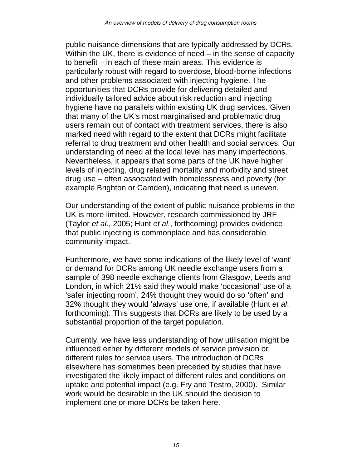public nuisance dimensions that are typically addressed by DCRs. Within the UK, there is evidence of need – in the sense of capacity to benefit – in each of these main areas. This evidence is particularly robust with regard to overdose, blood-borne infections and other problems associated with injecting hygiene. The opportunities that DCRs provide for delivering detailed and individually tailored advice about risk reduction and injecting hygiene have no parallels within existing UK drug services. Given that many of the UK's most marginalised and problematic drug users remain out of contact with treatment services, there is also marked need with regard to the extent that DCRs might facilitate referral to drug treatment and other health and social services. Our understanding of need at the local level has many imperfections. Nevertheless, it appears that some parts of the UK have higher levels of injecting, drug related mortality and morbidity and street drug use – often associated with homelessness and poverty (for example Brighton or Camden), indicating that need is uneven.

Our understanding of the extent of public nuisance problems in the UK is more limited. However, research commissioned by JRF (Taylor *et al*., 2005; Hunt *et al*., forthcoming) provides evidence that public injecting is commonplace and has considerable community impact.

Furthermore, we have some indications of the likely level of 'want' or demand for DCRs among UK needle exchange users from a sample of 398 needle exchange clients from Glasgow, Leeds and London, in which 21% said they would make 'occasional' use of a 'safer injecting room', 24% thought they would do so 'often' and 32% thought they would 'always' use one, if available (Hunt *et al*. forthcoming). This suggests that DCRs are likely to be used by a substantial proportion of the target population.

Currently, we have less understanding of how utilisation might be influenced either by different models of service provision or different rules for service users. The introduction of DCRs elsewhere has sometimes been preceded by studies that have investigated the likely impact of different rules and conditions on uptake and potential impact (e.g. Fry and Testro, 2000). Similar work would be desirable in the UK should the decision to implement one or more DCRs be taken here.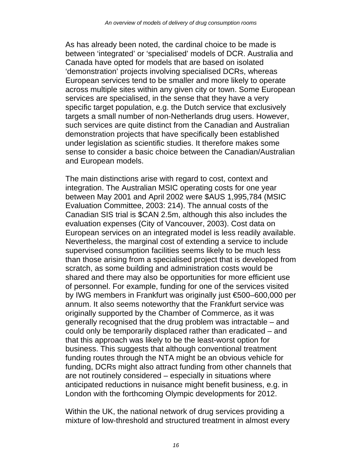As has already been noted, the cardinal choice to be made is between 'integrated' or 'specialised' models of DCR. Australia and Canada have opted for models that are based on isolated 'demonstration' projects involving specialised DCRs, whereas European services tend to be smaller and more likely to operate across multiple sites within any given city or town. Some European services are specialised, in the sense that they have a very specific target population, e.g. the Dutch service that exclusively targets a small number of non-Netherlands drug users. However, such services are quite distinct from the Canadian and Australian demonstration projects that have specifically been established under legislation as scientific studies. It therefore makes some sense to consider a basic choice between the Canadian/Australian and European models.

The main distinctions arise with regard to cost, context and integration. The Australian MSIC operating costs for one year between May 2001 and April 2002 were \$AUS 1,995,784 (MSIC Evaluation Committee, 2003: 214). The annual costs of the Canadian SIS trial is \$CAN 2.5m, although this also includes the evaluation expenses (City of Vancouver, 2003). Cost data on European services on an integrated model is less readily available. Nevertheless, the marginal cost of extending a service to include supervised consumption facilities seems likely to be much less than those arising from a specialised project that is developed from scratch, as some building and administration costs would be shared and there may also be opportunities for more efficient use of personnel. For example, funding for one of the services visited by IWG members in Frankfurt was originally just €500–600,000 per annum. It also seems noteworthy that the Frankfurt service was originally supported by the Chamber of Commerce, as it was generally recognised that the drug problem was intractable – and could only be temporarily displaced rather than eradicated – and that this approach was likely to be the least-worst option for business. This suggests that although conventional treatment funding routes through the NTA might be an obvious vehicle for funding, DCRs might also attract funding from other channels that are not routinely considered – especially in situations where anticipated reductions in nuisance might benefit business, e.g. in London with the forthcoming Olympic developments for 2012.

Within the UK, the national network of drug services providing a mixture of low-threshold and structured treatment in almost every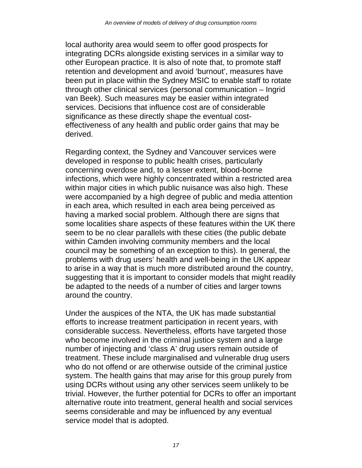local authority area would seem to offer good prospects for integrating DCRs alongside existing services in a similar way to other European practice. It is also of note that, to promote staff retention and development and avoid 'burnout', measures have been put in place within the Sydney MSIC to enable staff to rotate through other clinical services (personal communication – Ingrid van Beek). Such measures may be easier within integrated services. Decisions that influence cost are of considerable significance as these directly shape the eventual costeffectiveness of any health and public order gains that may be derived.

Regarding context, the Sydney and Vancouver services were developed in response to public health crises, particularly concerning overdose and, to a lesser extent, blood-borne infections, which were highly concentrated within a restricted area within major cities in which public nuisance was also high. These were accompanied by a high degree of public and media attention in each area, which resulted in each area being perceived as having a marked social problem. Although there are signs that some localities share aspects of these features within the UK there seem to be no clear parallels with these cities (the public debate within Camden involving community members and the local council may be something of an exception to this). In general, the problems with drug users' health and well-being in the UK appear to arise in a way that is much more distributed around the country, suggesting that it is important to consider models that might readily be adapted to the needs of a number of cities and larger towns around the country.

Under the auspices of the NTA, the UK has made substantial efforts to increase treatment participation in recent years, with considerable success. Nevertheless, efforts have targeted those who become involved in the criminal justice system and a large number of injecting and 'class A' drug users remain outside of treatment. These include marginalised and vulnerable drug users who do not offend or are otherwise outside of the criminal justice system. The health gains that may arise for this group purely from using DCRs without using any other services seem unlikely to be trivial. However, the further potential for DCRs to offer an important alternative route into treatment, general health and social services seems considerable and may be influenced by any eventual service model that is adopted.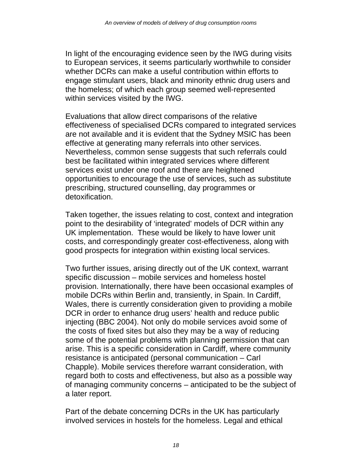In light of the encouraging evidence seen by the IWG during visits to European services, it seems particularly worthwhile to consider whether DCRs can make a useful contribution within efforts to engage stimulant users, black and minority ethnic drug users and the homeless; of which each group seemed well-represented within services visited by the IWG.

Evaluations that allow direct comparisons of the relative effectiveness of specialised DCRs compared to integrated services are not available and it is evident that the Sydney MSIC has been effective at generating many referrals into other services. Nevertheless, common sense suggests that such referrals could best be facilitated within integrated services where different services exist under one roof and there are heightened opportunities to encourage the use of services, such as substitute prescribing, structured counselling, day programmes or detoxification.

Taken together, the issues relating to cost, context and integration point to the desirability of 'integrated' models of DCR within any UK implementation. These would be likely to have lower unit costs, and correspondingly greater cost-effectiveness, along with good prospects for integration within existing local services.

Two further issues, arising directly out of the UK context, warrant specific discussion – mobile services and homeless hostel provision. Internationally, there have been occasional examples of mobile DCRs within Berlin and, transiently, in Spain. In Cardiff, Wales, there is currently consideration given to providing a mobile DCR in order to enhance drug users' health and reduce public injecting (BBC 2004). Not only do mobile services avoid some of the costs of fixed sites but also they may be a way of reducing some of the potential problems with planning permission that can arise. This is a specific consideration in Cardiff, where community resistance is anticipated (personal communication – Carl Chapple). Mobile services therefore warrant consideration, with regard both to costs and effectiveness, but also as a possible way of managing community concerns – anticipated to be the subject of a later report.

Part of the debate concerning DCRs in the UK has particularly involved services in hostels for the homeless. Legal and ethical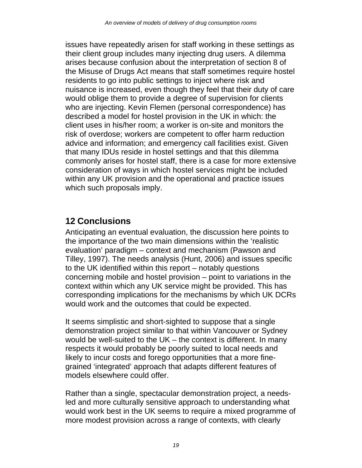issues have repeatedly arisen for staff working in these settings as their client group includes many injecting drug users. A dilemma arises because confusion about the interpretation of section 8 of the Misuse of Drugs Act means that staff sometimes require hostel residents to go into public settings to inject where risk and nuisance is increased, even though they feel that their duty of care would oblige them to provide a degree of supervision for clients who are injecting. Kevin Flemen (personal correspondence) has described a model for hostel provision in the UK in which: the client uses in his/her room; a worker is on-site and monitors the risk of overdose; workers are competent to offer harm reduction advice and information; and emergency call facilities exist. Given that many IDUs reside in hostel settings and that this dilemma commonly arises for hostel staff, there is a case for more extensive consideration of ways in which hostel services might be included within any UK provision and the operational and practice issues which such proposals imply.

## **12 Conclusions**

Anticipating an eventual evaluation, the discussion here points to the importance of the two main dimensions within the 'realistic evaluation' paradigm – context and mechanism (Pawson and Tilley, 1997). The needs analysis (Hunt, 2006) and issues specific to the UK identified within this report – notably questions concerning mobile and hostel provision – point to variations in the context within which any UK service might be provided. This has corresponding implications for the mechanisms by which UK DCRs would work and the outcomes that could be expected.

It seems simplistic and short-sighted to suppose that a single demonstration project similar to that within Vancouver or Sydney would be well-suited to the UK – the context is different. In many respects it would probably be poorly suited to local needs and likely to incur costs and forego opportunities that a more finegrained 'integrated' approach that adapts different features of models elsewhere could offer.

Rather than a single, spectacular demonstration project, a needsled and more culturally sensitive approach to understanding what would work best in the UK seems to require a mixed programme of more modest provision across a range of contexts, with clearly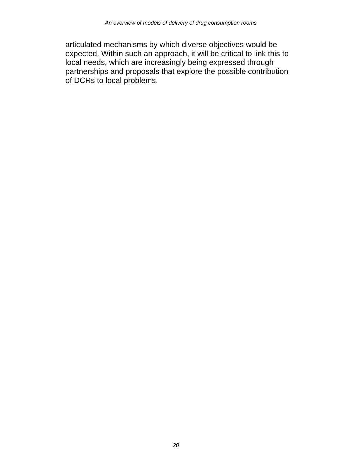articulated mechanisms by which diverse objectives would be expected. Within such an approach, it will be critical to link this to local needs, which are increasingly being expressed through partnerships and proposals that explore the possible contribution of DCRs to local problems.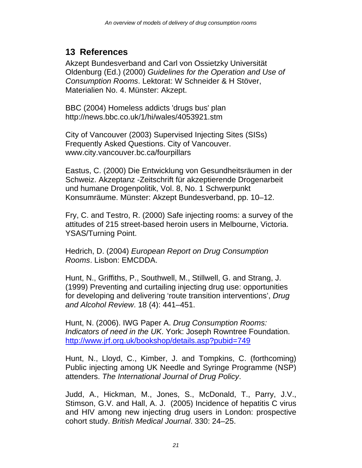## **13 References**

Akzept Bundesverband and Carl von Ossietzky Universität Oldenburg (Ed.) (2000) *Guidelines for the Operation and Use of Consumption Rooms*. Lektorat: W Schneider & H Stöver, Materialien No. 4. Münster: Akzept.

BBC (2004) Homeless addicts 'drugs bus' plan http://news.bbc.co.uk/1/hi/wales/4053921.stm

City of Vancouver (2003) Supervised Injecting Sites (SISs) Frequently Asked Questions. City of Vancouver. www.city.vancouver.bc.ca/fourpillars

Eastus, C. (2000) Die Entwicklung von Gesundheitsräumen in der Schweiz. Akzeptanz -Zeitschrift für akzeptierende Drogenarbeit und humane Drogenpolitik, Vol. 8, No. 1 Schwerpunkt Konsumräume. Münster: Akzept Bundesverband, pp. 10–12.

Fry, C. and Testro, R. (2000) Safe injecting rooms: a survey of the attitudes of 215 street-based heroin users in Melbourne, Victoria. YSAS/Turning Point.

Hedrich, D. (2004) *European Report on Drug Consumption Rooms*. Lisbon: EMCDDA.

Hunt, N., Griffiths, P., Southwell, M., Stillwell, G. and Strang, J. (1999) Preventing and curtailing injecting drug use: opportunities for developing and delivering 'route transition interventions', *Drug and Alcohol Review*. 18 (4): 441–451.

Hunt, N. (2006). IWG Paper A. *Drug Consumption Rooms: Indicators of need in the UK*. York: Joseph Rowntree Foundation. http://www.jrf.org.uk/bookshop/details.asp?pubid=749

Hunt, N., Lloyd, C., Kimber, J. and Tompkins, C. (forthcoming) Public injecting among UK Needle and Syringe Programme (NSP) attenders. *The International Journal of Drug Policy*.

Judd, A., Hickman, M., Jones, S., McDonald, T., Parry, J.V., Stimson, G.V. and Hall, A. J. (2005) Incidence of hepatitis C virus and HIV among new injecting drug users in London: prospective cohort study. *British Medical Journal*. 330: 24–25.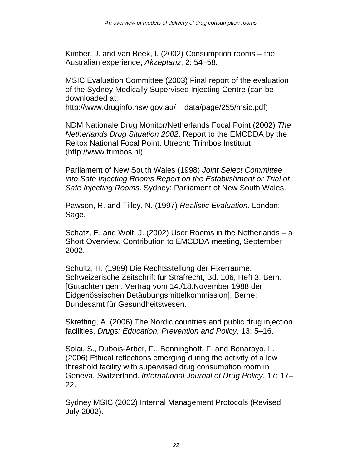Kimber, J. and van Beek, I. (2002) Consumption rooms – the Australian experience, *Akzeptanz*, 2: 54–58.

MSIC Evaluation Committee (2003) Final report of the evaluation of the Sydney Medically Supervised Injecting Centre (can be downloaded at:

http://www.druginfo.nsw.gov.au/\_\_data/page/255/msic.pdf)

NDM Nationale Drug Monitor/Netherlands Focal Point (2002) *The Netherlands Drug Situation 2002*. Report to the EMCDDA by the Reitox National Focal Point. Utrecht: Trimbos Instituut (http://www.trimbos.nl)

Parliament of New South Wales (1998) *Joint Select Committee into Safe Injecting Rooms Report on the Establishment or Trial of Safe Injecting Rooms*. Sydney: Parliament of New South Wales.

Pawson, R. and Tilley, N. (1997) *Realistic Evaluation*. London: Sage.

Schatz, E. and Wolf, J. (2002) User Rooms in the Netherlands – a Short Overview. Contribution to EMCDDA meeting, September 2002.

Schultz, H. (1989) Die Rechtsstellung der Fixerräume. Schweizerische Zeitschrift für Strafrecht, Bd. 106, Heft 3, Bern. [Gutachten gem. Vertrag vom 14./18.November 1988 der Eidgenössischen Betäubungsmittelkommission]. Berne: Bundesamt für Gesundheitswesen.

Skretting, A. (2006) The Nordic countries and public drug injection facilities. *Drugs: Education, Prevention and Policy*, 13: 5–16.

Solai, S., Dubois-Arber, F., Benninghoff, F. and Benarayo, L. (2006) Ethical reflections emerging during the activity of a low threshold facility with supervised drug consumption room in Geneva, Switzerland. *International Journal of Drug Policy*. 17: 17– 22.

Sydney MSIC (2002) Internal Management Protocols (Revised July 2002).